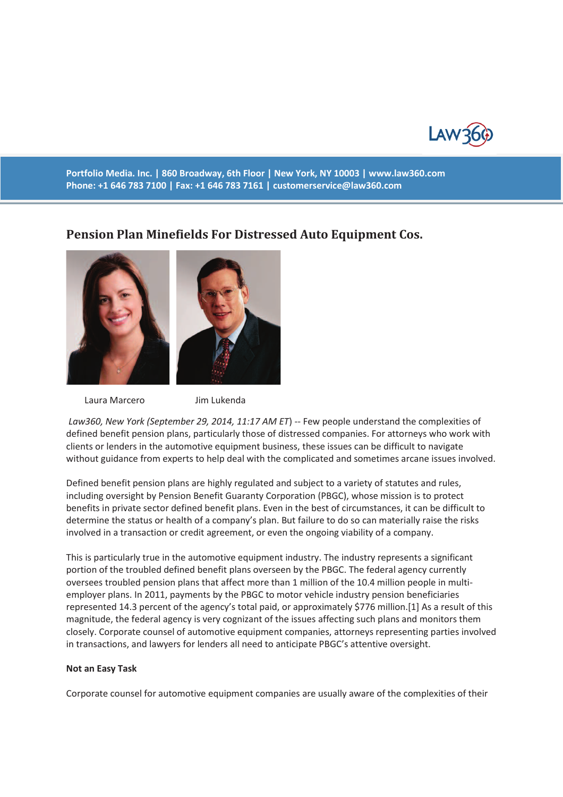

**Portfolio Media. Inc. | 860 Broadway, 6th Floor | New York, NY 10003 | www.law360.com Phone: +1 646 783 7100 | Fax: +1 646 783 7161 | customerservice@law360.com**

# **Pension Plan Minefields For Distressed Auto Equipment Cos.**



Laura Marcero Jim Lukenda

 *Law360, New York (September 29, 2014, 11:17 AM ET*) -- Few people understand the complexities of defined benefit pension plans, particularly those of distressed companies. For attorneys who work with clients or lenders in the automotive equipment business, these issues can be difficult to navigate without guidance from experts to help deal with the complicated and sometimes arcane issues involved.

Defined benefit pension plans are highly regulated and subject to a variety of statutes and rules, including oversight by Pension Benefit Guaranty Corporation (PBGC), whose mission is to protect benefits in private sector defined benefit plans. Even in the best of circumstances, it can be difficult to determine the status or health of a company's plan. But failure to do so can materially raise the risks involved in a transaction or credit agreement, or even the ongoing viability of a company.

This is particularly true in the automotive equipment industry. The industry represents a significant portion of the troubled defined benefit plans overseen by the PBGC. The federal agency currently oversees troubled pension plans that affect more than 1 million of the 10.4 million people in multiemployer plans. In 2011, payments by the PBGC to motor vehicle industry pension beneficiaries represented 14.3 percent of the agency's total paid, or approximately \$776 million.[1] As a result of this magnitude, the federal agency is very cognizant of the issues affecting such plans and monitors them closely. Corporate counsel of automotive equipment companies, attorneys representing parties involved in transactions, and lawyers for lenders all need to anticipate PBGC's attentive oversight.

### **Not an Easy Task**

Corporate counsel for automotive equipment companies are usually aware of the complexities of their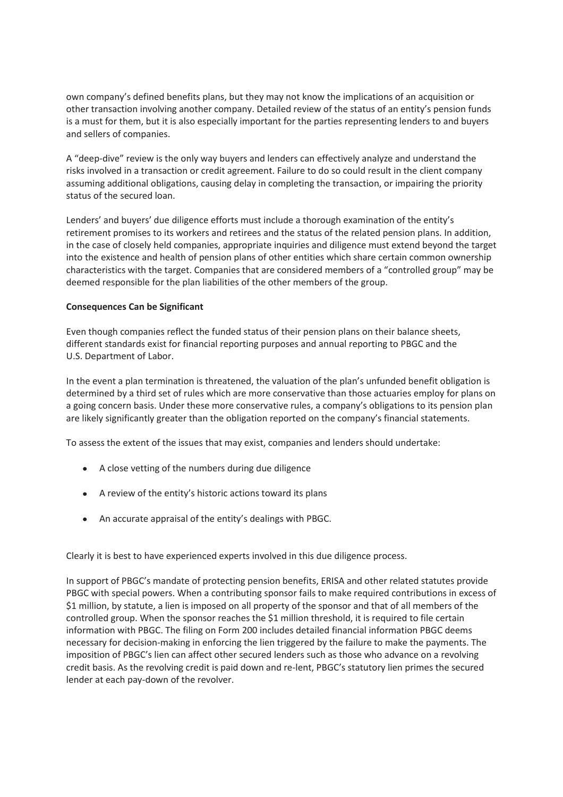own company's defined benefits plans, but they may not know the implications of an acquisition or other transaction involving another company. Detailed review of the status of an entity's pension funds is a must for them, but it is also especially important for the parties representing lenders to and buyers and sellers of companies.

A "deep-dive" review is the only way buyers and lenders can effectively analyze and understand the risks involved in a transaction or credit agreement. Failure to do so could result in the client company assuming additional obligations, causing delay in completing the transaction, or impairing the priority status of the secured loan.

Lenders' and buyers' due diligence efforts must include a thorough examination of the entity's retirement promises to its workers and retirees and the status of the related pension plans. In addition, in the case of closely held companies, appropriate inquiries and diligence must extend beyond the target into the existence and health of pension plans of other entities which share certain common ownership characteristics with the target. Companies that are considered members of a "controlled group" may be deemed responsible for the plan liabilities of the other members of the group.

## **Consequences Can be Significant**

Even though companies reflect the funded status of their pension plans on their balance sheets, different standards exist for financial reporting purposes and annual reporting to PBGC and the U.S. Department of Labor.

In the event a plan termination is threatened, the valuation of the plan's unfunded benefit obligation is determined by a third set of rules which are more conservative than those actuaries employ for plans on a going concern basis. Under these more conservative rules, a company's obligations to its pension plan are likely significantly greater than the obligation reported on the company's financial statements.

To assess the extent of the issues that may exist, companies and lenders should undertake:

- A close vetting of the numbers during due diligence
- A review of the entity's historic actions toward its plans
- An accurate appraisal of the entity's dealings with PBGC.

Clearly it is best to have experienced experts involved in this due diligence process.

In support of PBGC's mandate of protecting pension benefits, ERISA and other related statutes provide PBGC with special powers. When a contributing sponsor fails to make required contributions in excess of \$1 million, by statute, a lien is imposed on all property of the sponsor and that of all members of the controlled group. When the sponsor reaches the \$1 million threshold, it is required to file certain information with PBGC. The filing on Form 200 includes detailed financial information PBGC deems necessary for decision-making in enforcing the lien triggered by the failure to make the payments. The imposition of PBGC's lien can affect other secured lenders such as those who advance on a revolving credit basis. As the revolving credit is paid down and re-lent, PBGC's statutory lien primes the secured lender at each pay-down of the revolver.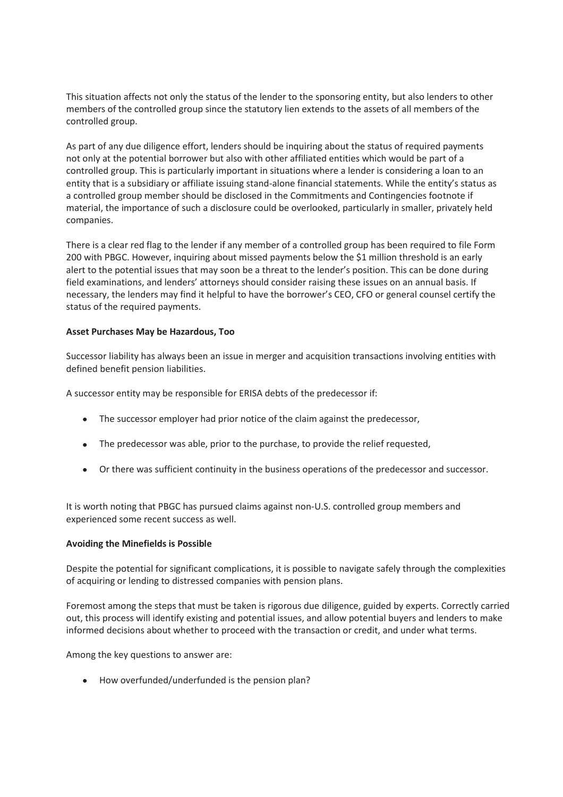This situation affects not only the status of the lender to the sponsoring entity, but also lenders to other members of the controlled group since the statutory lien extends to the assets of all members of the controlled group.

As part of any due diligence effort, lenders should be inquiring about the status of required payments not only at the potential borrower but also with other affiliated entities which would be part of a controlled group. This is particularly important in situations where a lender is considering a loan to an entity that is a subsidiary or affiliate issuing stand-alone financial statements. While the entity's status as a controlled group member should be disclosed in the Commitments and Contingencies footnote if material, the importance of such a disclosure could be overlooked, particularly in smaller, privately held companies.

There is a clear red flag to the lender if any member of a controlled group has been required to file Form 200 with PBGC. However, inquiring about missed payments below the \$1 million threshold is an early alert to the potential issues that may soon be a threat to the lender's position. This can be done during field examinations, and lenders' attorneys should consider raising these issues on an annual basis. If necessary, the lenders may find it helpful to have the borrower's CEO, CFO or general counsel certify the status of the required payments.

## **Asset Purchases May be Hazardous, Too**

Successor liability has always been an issue in merger and acquisition transactions involving entities with defined benefit pension liabilities.

A successor entity may be responsible for ERISA debts of the predecessor if:

- The successor employer had prior notice of the claim against the predecessor,
- The predecessor was able, prior to the purchase, to provide the relief requested,
- Or there was sufficient continuity in the business operations of the predecessor and successor.

It is worth noting that PBGC has pursued claims against non-U.S. controlled group members and experienced some recent success as well.

## **Avoiding the Minefields is Possible**

Despite the potential for significant complications, it is possible to navigate safely through the complexities of acquiring or lending to distressed companies with pension plans.

Foremost among the steps that must be taken is rigorous due diligence, guided by experts. Correctly carried out, this process will identify existing and potential issues, and allow potential buyers and lenders to make informed decisions about whether to proceed with the transaction or credit, and under what terms.

Among the key questions to answer are:

How overfunded/underfunded is the pension plan?